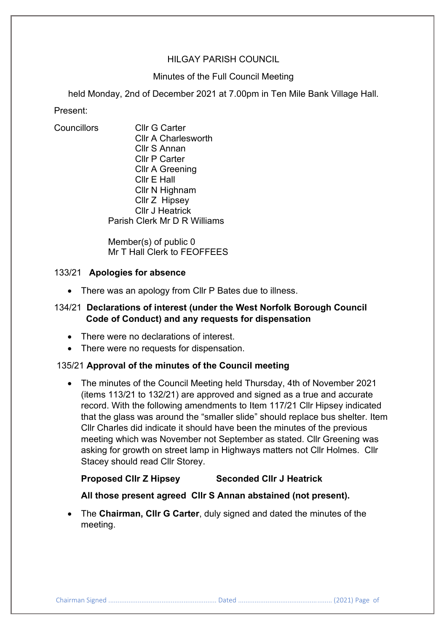# HILGAY PARISH COUNCIL

# Minutes of the Full Council Meeting

held Monday, 2nd of December 2021 at 7.00pm in Ten Mile Bank Village Hall.

Present:

Councillors Cllr G Carter Cllr A Charlesworth Cllr S Annan Cllr P Carter Cllr A Greening Cllr E Hall Cllr N Highnam Cllr Z Hipsey Cllr J Heatrick Parish Clerk Mr D R Williams

> Member(s) of public 0 Mr T Hall Clerk to FEOFFEES

# 133/21 **Apologies for absence**

• There was an apology from Cllr P Bates due to illness.

# 134/21 **Declarations of interest (under the West Norfolk Borough Council Code of Conduct) and any requests for dispensation**

- There were no declarations of interest.
- There were no requests for dispensation.

# 135/21 **Approval of the minutes of the Council meeting**

• The minutes of the Council Meeting held Thursday, 4th of November 2021 (items 113/21 to 132/21) are approved and signed as a true and accurate record. With the following amendments to Item 117/21 Cllr Hipsey indicated that the glass was around the "smaller slide" should replace bus shelter. Item Cllr Charles did indicate it should have been the minutes of the previous meeting which was November not September as stated. Cllr Greening was asking for growth on street lamp in Highways matters not Cllr Holmes. Cllr Stacey should read Cllr Storey.

# **Proposed Cllr Z Hipsey Seconded Cllr J Heatrick**

# **All those present agreed Cllr S Annan abstained (not present).**

• The **Chairman, Cllr G Carter**, duly signed and dated the minutes of the meeting.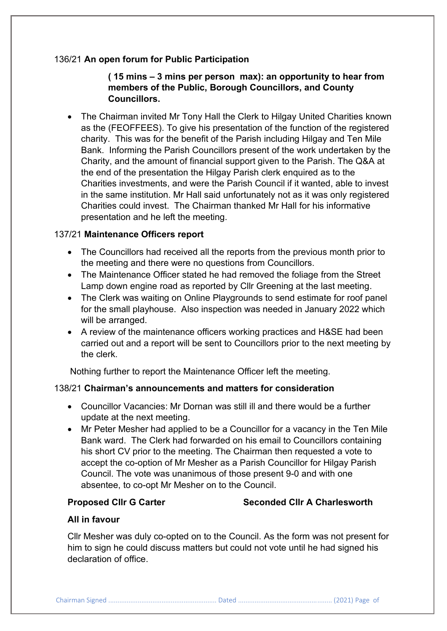# 136/21 **An open forum for Public Participation**

**( 15 mins – 3 mins per person max): an opportunity to hear from members of the Public, Borough Councillors, and County Councillors.**

• The Chairman invited Mr Tony Hall the Clerk to Hilgay United Charities known as the (FEOFFEES). To give his presentation of the function of the registered charity. This was for the benefit of the Parish including Hilgay and Ten Mile Bank. Informing the Parish Councillors present of the work undertaken by the Charity, and the amount of financial support given to the Parish. The Q&A at the end of the presentation the Hilgay Parish clerk enquired as to the Charities investments, and were the Parish Council if it wanted, able to invest in the same institution. Mr Hall said unfortunately not as it was only registered Charities could invest. The Chairman thanked Mr Hall for his informative presentation and he left the meeting.

# 137/21 **Maintenance Officers report**

- The Councillors had received all the reports from the previous month prior to the meeting and there were no questions from Councillors.
- The Maintenance Officer stated he had removed the foliage from the Street Lamp down engine road as reported by Cllr Greening at the last meeting.
- The Clerk was waiting on Online Playgrounds to send estimate for roof panel for the small playhouse. Also inspection was needed in January 2022 which will be arranged.
- A review of the maintenance officers working practices and H&SE had been carried out and a report will be sent to Councillors prior to the next meeting by the clerk.

Nothing further to report the Maintenance Officer left the meeting.

# 138/21 **Chairman's announcements and matters for consideration**

- Councillor Vacancies: Mr Dornan was still ill and there would be a further update at the next meeting.
- Mr Peter Mesher had applied to be a Councillor for a vacancy in the Ten Mile Bank ward. The Clerk had forwarded on his email to Councillors containing his short CV prior to the meeting. The Chairman then requested a vote to accept the co-option of Mr Mesher as a Parish Councillor for Hilgay Parish Council. The vote was unanimous of those present 9-0 and with one absentee, to co-opt Mr Mesher on to the Council.

# **Proposed Clir G Carter Seconded Clir A Charlesworth**

# **All in favour**

Cllr Mesher was duly co-opted on to the Council. As the form was not present for him to sign he could discuss matters but could not vote until he had signed his declaration of office.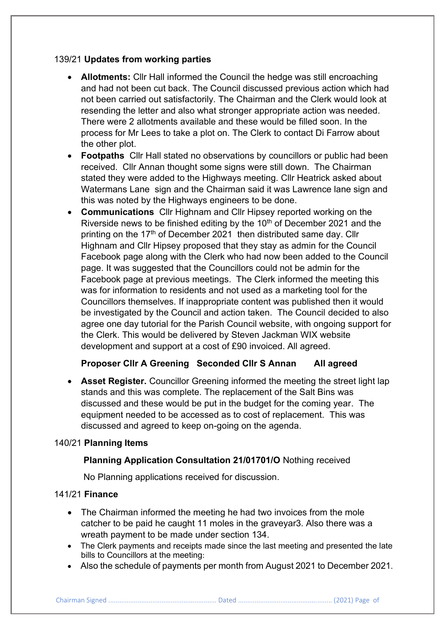# 139/21 **Updates from working parties**

- **Allotments:** Cllr Hall informed the Council the hedge was still encroaching and had not been cut back. The Council discussed previous action which had not been carried out satisfactorily. The Chairman and the Clerk would look at resending the letter and also what stronger appropriate action was needed. There were 2 allotments available and these would be filled soon. In the process for Mr Lees to take a plot on. The Clerk to contact Di Farrow about the other plot.
- **Footpaths** Cllr Hall stated no observations by councillors or public had been received. Cllr Annan thought some signs were still down. The Chairman stated they were added to the Highways meeting. Cllr Heatrick asked about Watermans Lane sign and the Chairman said it was Lawrence lane sign and this was noted by the Highways engineers to be done.
- **Communications** Cllr Highnam and Cllr Hipsey reported working on the Riverside news to be finished editing by the 10<sup>th</sup> of December 2021 and the printing on the 17<sup>th</sup> of December 2021 then distributed same day. Cllr Highnam and Cllr Hipsey proposed that they stay as admin for the Council Facebook page along with the Clerk who had now been added to the Council page. It was suggested that the Councillors could not be admin for the Facebook page at previous meetings. The Clerk informed the meeting this was for information to residents and not used as a marketing tool for the Councillors themselves. If inappropriate content was published then it would be investigated by the Council and action taken. The Council decided to also agree one day tutorial for the Parish Council website, with ongoing support for the Clerk. This would be delivered by Steven Jackman WIX website development and support at a cost of £90 invoiced. All agreed.

# **Proposer Cllr A Greening Seconded Cllr S Annan All agreed**

• **Asset Register.** Councillor Greening informed the meeting the street light lap stands and this was complete. The replacement of the Salt Bins was discussed and these would be put in the budget for the coming year. The equipment needed to be accessed as to cost of replacement. This was discussed and agreed to keep on-going on the agenda.

# 140/21 **Planning Items**

# **Planning Application Consultation 21/01701/O** Nothing received

No Planning applications received for discussion.

# 141/21 **Finance**

- The Chairman informed the meeting he had two invoices from the mole catcher to be paid he caught 11 moles in the graveyar3. Also there was a wreath payment to be made under section 134.
- The Clerk payments and receipts made since the last meeting and presented the late bills to Councillors at the meeting:
- Also the schedule of payments per month from August 2021 to December 2021.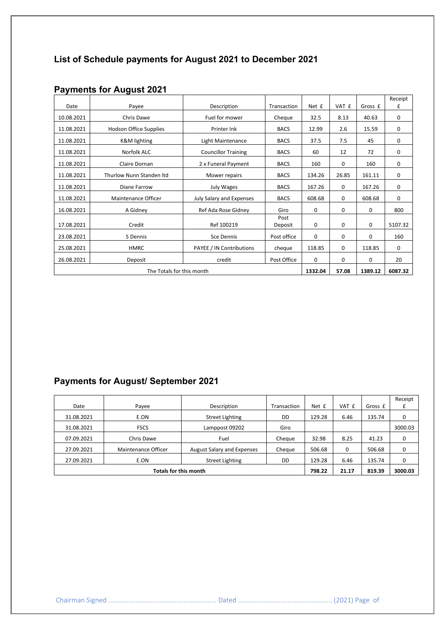# **List of Schedule payments for August 2021 to December 2021**

|                           |                               |                                           |                 |             |       |          | Receipt |
|---------------------------|-------------------------------|-------------------------------------------|-----------------|-------------|-------|----------|---------|
| Date                      | Payee                         | Description                               | Transaction     | Net £       | VAT £ | Gross £  | £       |
| 10.08.2021                | Chris Dawe                    | Fuel for mower                            | Cheque          | 32.5        | 8.13  | 40.63    | 0       |
| 11.08.2021                | <b>Hodson Office Supplies</b> | Printer Ink                               | <b>BACS</b>     | 12.99       | 2.6   | 15.59    | 0       |
| 11.08.2021                | <b>K&amp;M</b> lighting       | <b>BACS</b><br>Light Maintenance          |                 | 37.5        | 7.5   | 45       | 0       |
| 11.08.2021                | Norfolk ALC                   | <b>BACS</b><br><b>Councillor Training</b> |                 | 60          | 12    | 72       | 0       |
| 11.08.2021                | Claire Dornan                 | 2 x Funeral Payment                       | <b>BACS</b>     | 160         | 0     | 160      | 0       |
| 11.08.2021                | Thurlow Nunn Standen Itd      | Mower repairs                             | <b>BACS</b>     | 134.26      | 26.85 | 161.11   | 0       |
| 11.08.2021                | Diane Farrow                  | July Wages                                | <b>BACS</b>     | 167.26      | 0     | 167.26   | 0       |
| 11.08.2021                | Maintenance Officer           | July Salary and Expenses                  | <b>BACS</b>     | 608.68      | 0     | 608.68   | 0       |
| 16.08.2021                | A Gidney                      | Ref Ada Rose Gidney                       | Giro            | 0           | 0     | 0        | 800     |
| 17.08.2021                | Credit                        | Ref 100219                                | Post<br>Deposit | 0           | 0     | 0        | 5107.32 |
| 23.08.2021                | S Dennis                      | Sce Dennis                                | Post office     | $\mathbf 0$ | 0     | $\Omega$ | 160     |
| 25.08.2021                | <b>HMRC</b>                   | PAYEE / IN Contributions                  | cheque          | 118.85      | 0     | 118.85   | 0       |
| 26.08.2021                | Deposit                       | credit                                    | Post Office     | $\Omega$    | 0     | $\Omega$ | 20      |
| The Totals for this month |                               |                                           |                 | 1332.04     | 57.08 | 1389.12  | 6087.32 |

# **Payments for August 2021**

# **Payments for August/ September 2021**

|                              |                     |                                   |             |        |       |         | Receipt |
|------------------------------|---------------------|-----------------------------------|-------------|--------|-------|---------|---------|
| Date                         | Payee               | Description                       | Transaction | Net £  | VAT £ | Gross £ |         |
| 31.08.2021                   | E.ON                | <b>Street Lighting</b>            | DD          | 129.28 | 6.46  | 135.74  | 0       |
| 31.08.2021                   | <b>FSCS</b>         | Lamppost 09202                    | Giro        |        |       |         | 3000.03 |
| 07.09.2021                   | Chris Dawe          | Fuel                              | Cheque      | 32.98  | 8.25  | 41.23   | 0       |
| 27.09.2021                   | Maintenance Officer | <b>August Salary and Expenses</b> | Cheque      | 506.68 | 0     | 506.68  | 0       |
| 27.09.2021                   | E.ON                | <b>Street Lighting</b>            | DD          | 129.28 | 6.46  | 135.74  | 0       |
| <b>Totals for this month</b> |                     |                                   |             | 798.22 | 21.17 | 819.39  | 3000.03 |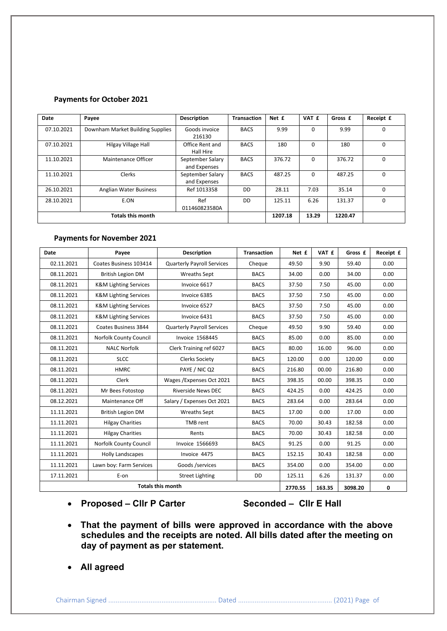#### **Payments for October 2021**

| Date       | Payee                            | <b>Description</b>               | <b>Transaction</b> | Net £   | VAT £    | Gross £ | Receipt £ |
|------------|----------------------------------|----------------------------------|--------------------|---------|----------|---------|-----------|
| 07.10.2021 | Downham Market Building Supplies | Goods invoice<br>216130          | <b>BACS</b>        | 9.99    | $\Omega$ | 9.99    | 0         |
| 07.10.2021 | Hilgay Village Hall              | Office Rent and<br>Hall Hire     | <b>BACS</b>        | 180     | 0        | 180     | $\Omega$  |
| 11.10.2021 | Maintenance Officer              | September Salary<br>and Expenses | <b>BACS</b>        | 376.72  | 0        | 376.72  | $\Omega$  |
| 11.10.2021 | Clerks                           | September Salary<br>and Expenses | <b>BACS</b>        | 487.25  | $\Omega$ | 487.25  | $\Omega$  |
| 26.10.2021 | Anglian Water Business           | Ref 1013358                      | DD                 | 28.11   | 7.03     | 35.14   | $\Omega$  |
| 28.10.2021 | E.ON                             | Ref<br>011460823580A             | DD                 | 125.11  | 6.26     | 131.37  | $\Omega$  |
|            | <b>Totals this month</b>         |                                  |                    | 1207.18 | 13.29    | 1220.47 |           |

#### **Payments for November 2021**

| <b>Date</b>              | Payee                            | <b>Description</b>                | <b>Transaction</b> | Net £   | VAT £  | Gross £ | Receipt £   |
|--------------------------|----------------------------------|-----------------------------------|--------------------|---------|--------|---------|-------------|
| 02.11.2021               | Coates Business 103414           | <b>Quarterly Payroll Services</b> | Cheque             | 49.50   | 9.90   | 59.40   | 0.00        |
| 08.11.2021               | <b>British Legion DM</b>         | <b>Wreaths Sept</b>               | <b>BACS</b>        | 34.00   | 0.00   | 34.00   | 0.00        |
| 08.11.2021               | <b>K&amp;M Lighting Services</b> | Invoice 6617                      | <b>BACS</b>        | 37.50   | 7.50   | 45.00   | 0.00        |
| 08.11.2021               | <b>K&amp;M Lighting Services</b> | Invoice 6385                      | <b>BACS</b>        | 37.50   | 7.50   | 45.00   | 0.00        |
| 08.11.2021               | <b>K&amp;M Lighting Services</b> | Invoice 6527                      | <b>BACS</b>        | 37.50   | 7.50   | 45.00   | 0.00        |
| 08.11.2021               | <b>K&amp;M Lighting Services</b> | Invoice 6431                      | <b>BACS</b>        | 37.50   | 7.50   | 45.00   | 0.00        |
| 08.11.2021               | Coates Business 3844             | <b>Quarterly Payroll Services</b> | Cheque             | 49.50   | 9.90   | 59.40   | 0.00        |
| 08.11.2021               | Norfolk County Council           | <b>Invoice 1568445</b>            | <b>BACS</b>        | 85.00   | 0.00   | 85.00   | 0.00        |
| 08.11.2021               | <b>NALC Norfolk</b>              | Clerk Training ref 6027           | <b>BACS</b>        | 80.00   | 16.00  | 96.00   | 0.00        |
| 08.11.2021               | <b>SLCC</b>                      | <b>Clerks Society</b>             | <b>BACS</b>        | 120.00  | 0.00   | 120.00  | 0.00        |
| 08.11.2021               | <b>HMRC</b>                      | PAYE / NIC Q2                     | <b>BACS</b>        | 216.80  | 00.00  | 216.80  | 0.00        |
| 08.11.2021               | Clerk                            | Wages / Expenses Oct 2021         | <b>BACS</b>        | 398.35  | 00.00  | 398.35  | 0.00        |
| 08.11.2021               | Mr Bees Fotostop                 | <b>Riverside News DEC</b>         | <b>BACS</b>        | 424.25  | 0.00   | 424.25  | 0.00        |
| 08.12.2021               | Maintenance Off                  | Salary / Expenses Oct 2021        | <b>BACS</b>        | 283.64  | 0.00   | 283.64  | 0.00        |
| 11.11.2021               | <b>British Legion DM</b>         | <b>Wreaths Sept</b>               | <b>BACS</b>        | 17.00   | 0.00   | 17.00   | 0.00        |
| 11.11.2021               | <b>Hilgay Charities</b>          | TMB rent                          | <b>BACS</b>        | 70.00   | 30.43  | 182.58  | 0.00        |
| 11.11.2021               | <b>Hilgay Charities</b>          | Rents                             | <b>BACS</b>        | 70.00   | 30.43  | 182.58  | 0.00        |
| 11.11.2021               | Norfolk County Council           | <b>Invoice 1566693</b>            | <b>BACS</b>        | 91.25   | 0.00   | 91.25   | 0.00        |
| 11.11.2021               | <b>Holly Landscapes</b>          | Invoice 4475                      | <b>BACS</b>        | 152.15  | 30.43  | 182.58  | 0.00        |
| 11.11.2021               | Lawn boy: Farm Services          | Goods /services                   | <b>BACS</b>        | 354.00  | 0.00   | 354.00  | 0.00        |
| 17.11.2021               | E-on                             | <b>Street Lighting</b>            | <b>DD</b>          | 125.11  | 6.26   | 131.37  | 0.00        |
| <b>Totals this month</b> |                                  |                                   |                    | 2770.55 | 163.35 | 3098.20 | $\mathbf 0$ |

• **Proposed – Cllr P Carter Seconded – Cllr E Hall**

- **That the payment of bills were approved in accordance with the above schedules and the receipts are noted. All bills dated after the meeting on day of payment as per statement.**
- **All agreed**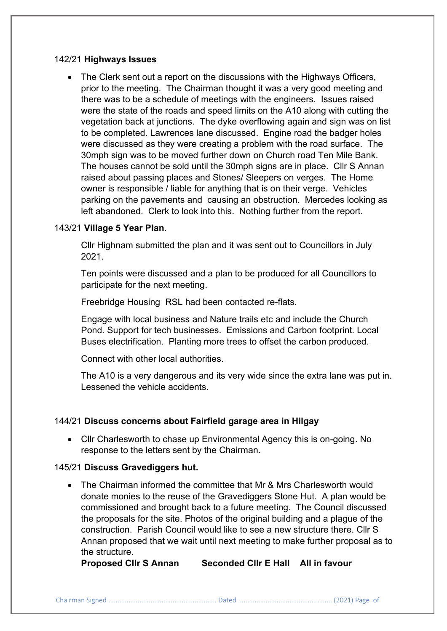## 142/21 **Highways Issues**

• The Clerk sent out a report on the discussions with the Highways Officers, prior to the meeting. The Chairman thought it was a very good meeting and there was to be a schedule of meetings with the engineers. Issues raised were the state of the roads and speed limits on the A10 along with cutting the vegetation back at junctions. The dyke overflowing again and sign was on list to be completed. Lawrences lane discussed. Engine road the badger holes were discussed as they were creating a problem with the road surface. The 30mph sign was to be moved further down on Church road Ten Mile Bank. The houses cannot be sold until the 30mph signs are in place. Cllr S Annan raised about passing places and Stones/ Sleepers on verges. The Home owner is responsible / liable for anything that is on their verge. Vehicles parking on the pavements and causing an obstruction. Mercedes looking as left abandoned. Clerk to look into this. Nothing further from the report.

# 143/21 **Village 5 Year Plan**.

Cllr Highnam submitted the plan and it was sent out to Councillors in July 2021.

Ten points were discussed and a plan to be produced for all Councillors to participate for the next meeting.

Freebridge Housing RSL had been contacted re-flats.

Engage with local business and Nature trails etc and include the Church Pond. Support for tech businesses. Emissions and Carbon footprint. Local Buses electrification. Planting more trees to offset the carbon produced.

Connect with other local authorities.

The A10 is a very dangerous and its very wide since the extra lane was put in. Lessened the vehicle accidents.

## 144/21 **Discuss concerns about Fairfield garage area in Hilgay**

• Cllr Charlesworth to chase up Environmental Agency this is on-going. No response to the letters sent by the Chairman.

## 145/21 **Discuss Gravediggers hut.**

• The Chairman informed the committee that Mr & Mrs Charlesworth would donate monies to the reuse of the Gravediggers Stone Hut. A plan would be commissioned and brought back to a future meeting. The Council discussed the proposals for the site. Photos of the original building and a plague of the construction. Parish Council would like to see a new structure there. Cllr S Annan proposed that we wait until next meeting to make further proposal as to the structure.

**Proposed Cllr S Annan Seconded Cllr E Hall All in favour**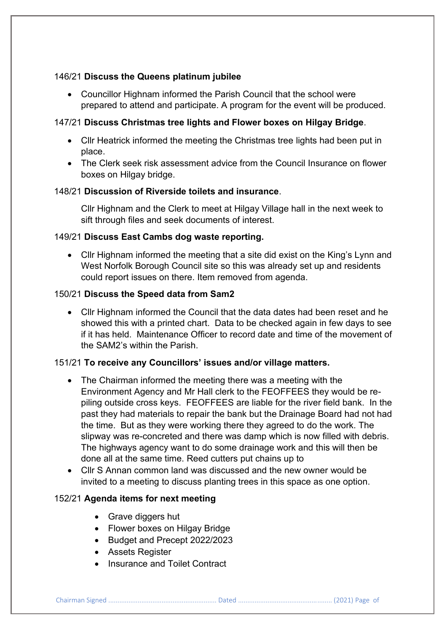# 146/21 **Discuss the Queens platinum jubilee**

• Councillor Highnam informed the Parish Council that the school were prepared to attend and participate. A program for the event will be produced.

# 147/21 **Discuss Christmas tree lights and Flower boxes on Hilgay Bridge**.

- Cllr Heatrick informed the meeting the Christmas tree lights had been put in place.
- The Clerk seek risk assessment advice from the Council Insurance on flower boxes on Hilgay bridge.

# 148/21 **Discussion of Riverside toilets and insurance**.

Cllr Highnam and the Clerk to meet at Hilgay Village hall in the next week to sift through files and seek documents of interest.

# 149/21 **Discuss East Cambs dog waste reporting.**

• Cllr Highnam informed the meeting that a site did exist on the King's Lynn and West Norfolk Borough Council site so this was already set up and residents could report issues on there. Item removed from agenda.

# 150/21 **Discuss the Speed data from Sam2**

• Cllr Highnam informed the Council that the data dates had been reset and he showed this with a printed chart. Data to be checked again in few days to see if it has held. Maintenance Officer to record date and time of the movement of the SAM2's within the Parish.

# 151/21 **To receive any Councillors' issues and/or village matters.**

- The Chairman informed the meeting there was a meeting with the Environment Agency and Mr Hall clerk to the FEOFFEES they would be repiling outside cross keys. FEOFFEES are liable for the river field bank. In the past they had materials to repair the bank but the Drainage Board had not had the time. But as they were working there they agreed to do the work. The slipway was re-concreted and there was damp which is now filled with debris. The highways agency want to do some drainage work and this will then be done all at the same time. Reed cutters put chains up to
- Cllr S Annan common land was discussed and the new owner would be invited to a meeting to discuss planting trees in this space as one option.

# 152/21 **Agenda items for next meeting**

- Grave diggers hut
- Flower boxes on Hilgay Bridge
- Budget and Precept 2022/2023
- Assets Register
- Insurance and Toilet Contract

Chairman Signed ........................................................... Dated ................................................... (2021) Page of